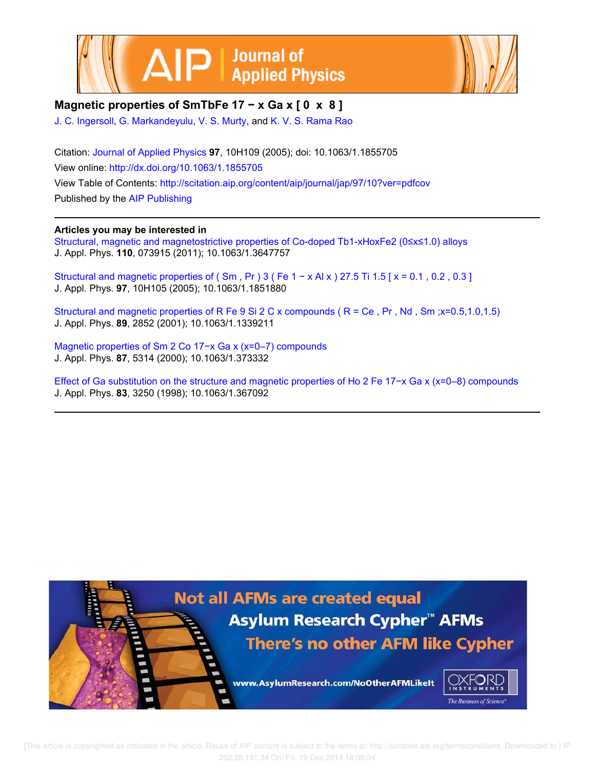



## **Magnetic properties of SmTbFe 17 − x Ga x [ 0 x 8 ]**

J. C. Ingersoll, G. Markandeyulu, V. S. Murty, and K. V. S. Rama Rao

Citation: Journal of Applied Physics **97**, 10H109 (2005); doi: 10.1063/1.1855705 View online: http://dx.doi.org/10.1063/1.1855705 View Table of Contents: http://scitation.aip.org/content/aip/journal/jap/97/10?ver=pdfcov Published by the AIP Publishing

### **Articles you may be interested in**

Structural, magnetic and magnetostrictive properties of Co-doped Tb1-xHoxFe2 (0≤x≤1.0) alloys J. Appl. Phys. **110**, 073915 (2011); 10.1063/1.3647757

Structural and magnetic properties of ( $\text{Sm}$ ,  $\text{Pr}$ ) 3 ( $\text{Fe}$  1 – x Al x) 27.5 Ti 1.5 [ $x = 0.1$ , 0.2, 0.3] J. Appl. Phys. **97**, 10H105 (2005); 10.1063/1.1851880

Structural and magnetic properties of R Fe 9 Si 2 C x compounds ( R = Ce , Pr , Nd , Sm ;x=0.5,1.0,1.5) J. Appl. Phys. **89**, 2852 (2001); 10.1063/1.1339211

Magnetic properties of Sm 2 Co 17−x Ga x (x=0–7) compounds J. Appl. Phys. **87**, 5314 (2000); 10.1063/1.373332

Effect of Ga substitution on the structure and magnetic properties of Ho 2 Fe 17−x Ga x (x=0–8) compounds J. Appl. Phys. **83**, 3250 (1998); 10.1063/1.367092



 [This article is copyrighted as indicated in the article. Reuse of AIP content is subject to the terms at: http://scitation.aip.org/termsconditions. Downloaded to ] IP: 202.28.191.34 On: Fri, 19 Dec 2014 18:08:34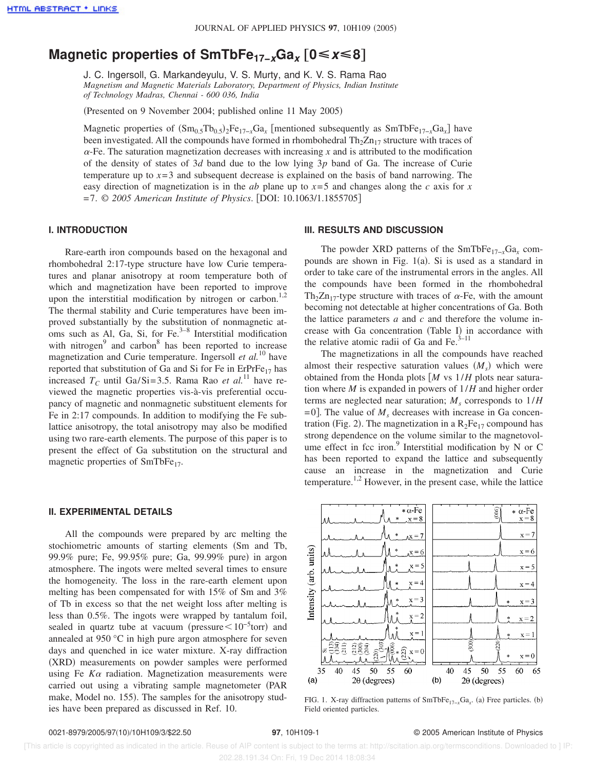# **Magnetic properties of SmTbFe17−xGa<sup>x</sup>** †**0ÏxÏ8**‡

J. C. Ingersoll, G. Markandeyulu, V. S. Murty, and K. V. S. Rama Rao *Magnetism and Magnetic Materials Laboratory, Department of Physics, Indian Institute of Technology Madras, Chennai - 600 036, India*

(Presented on 9 November 2004; published online 11 May 2005)

Magnetic properties of  $(Sm_{0.5}Tb_{0.5})$ <sub>2</sub>Fe<sub>17−*x*Ga<sub>*x*</sub></sub> [mentioned subsequently as SmTbFe<sub>17−*x*Ga<sub>*x*</sub>]</sub> have been investigated. All the compounds have formed in rhombohedral  $Th_2Zn_{17}$  structure with traces of  $\alpha$ -Fe. The saturation magnetization decreases with increasing *x* and is attributed to the modification of the density of states of 3*d* band due to the low lying 3*p* band of Ga. The increase of Curie temperature up to *x*=3 and subsequent decrease is explained on the basis of band narrowing. The easy direction of magnetization is in the *ab* plane up to  $x=5$  and changes along the *c* axis for *x* =7. © *2005 American Institute of Physics*. fDOI: 10.1063/1.1855705g

#### **I. INTRODUCTION**

Rare-earth iron compounds based on the hexagonal and rhombohedral 2:17-type structure have low Curie temperatures and planar anisotropy at room temperature both of which and magnetization have been reported to improve upon the interstitial modification by nitrogen or carbon.<sup>1,2</sup> The thermal stability and Curie temperatures have been improved substantially by the substitution of nonmagnetic atoms such as Al, Ga, Si, for Fe. $3-8$  Interstitial modification with nitrogen $9$  and carbon $8$  has been reported to increase magnetization and Curie temperature. Ingersoll *et al.*<sup>10</sup> have reported that substitution of Ga and Si for Fe in  $ErPrFe_{17}$  has increased  $T_C$  until Ga/Si=3.5. Rama Rao *et al.*<sup>11</sup> have reviewed the magnetic properties vis-à-vis preferential occupancy of magnetic and nonmagnetic substituent elements for Fe in 2:17 compounds. In addition to modifying the Fe sublattice anisotropy, the total anisotropy may also be modified using two rare-earth elements. The purpose of this paper is to present the effect of Ga substitution on the structural and magnetic properties of SmTbFe<sub>17</sub>.

#### **II. EXPERIMENTAL DETAILS**

All the compounds were prepared by arc melting the stochiometric amounts of starting elements (Sm and Tb, 99.9% pure; Fe, 99.95% pure; Ga, 99.99% pure) in argon atmosphere. The ingots were melted several times to ensure the homogeneity. The loss in the rare-earth element upon melting has been compensated for with 15% of Sm and 3% of Tb in excess so that the net weight loss after melting is less than 0.5%. The ingots were wrapped by tantalum foil, sealed in quartz tube at vacuum (pressure $\leq 10^{-5}$ torr) and annealed at 950 °C in high pure argon atmosphere for seven days and quenched in ice water mixture. X-ray diffraction (XRD) measurements on powder samples were performed using Fe *K*<sup>a</sup> radiation. Magnetization measurements were carried out using a vibrating sample magnetometer (PAR make, Model no. 155). The samples for the anisotropy studies have been prepared as discussed in Ref. 10.

#### **III. RESULTS AND DISCUSSION**

The powder XRD patterns of the SmTbFe<sub>17−*x*</sub>Ga<sub>*x*</sub> compounds are shown in Fig.  $1(a)$ . Si is used as a standard in order to take care of the instrumental errors in the angles. All the compounds have been formed in the rhombohedral Th<sub>2</sub>Zn<sub>17</sub>-type structure with traces of  $\alpha$ -Fe, with the amount becoming not detectable at higher concentrations of Ga. Both the lattice parameters *a* and *c* and therefore the volume increase with Ga concentration (Table I) in accordance with the relative atomic radii of Ga and Fe. $3-11$ 

The magnetizations in all the compounds have reached almost their respective saturation values  $(M<sub>s</sub>)$  which were obtained from the Honda plots [*M* vs  $1/H$  plots near saturation where *M* is expanded in powers of 1/*H* and higher order terms are neglected near saturation; *M<sup>s</sup>* corresponds to 1/*H*  $=0$ ]. The value of  $M<sub>s</sub>$  decreases with increase in Ga concentration (Fig. 2). The magnetization in a  $R_2Fe_{17}$  compound has strong dependence on the volume similar to the magnetovolume effect in fcc iron.<sup>9</sup> Interstitial modification by N or C has been reported to expand the lattice and subsequently cause an increase in the magnetization and Curie temperature.<sup>1,2</sup> However, in the present case, while the lattice



FIG. 1. X-ray diffraction patterns of SmTbFe<sub>17−*x*</sub>Ga<sub>*x*</sub>. (a) Free particles. (b) Field oriented particles.

 [This article is copyrighted as indicated in the article. Reuse of AIP content is subject to the terms at: http://scitation.aip.org/termsconditions. Downloaded to ] IP: 202.28.191.34 On: Fri, 19 Dec 2014 18:08:34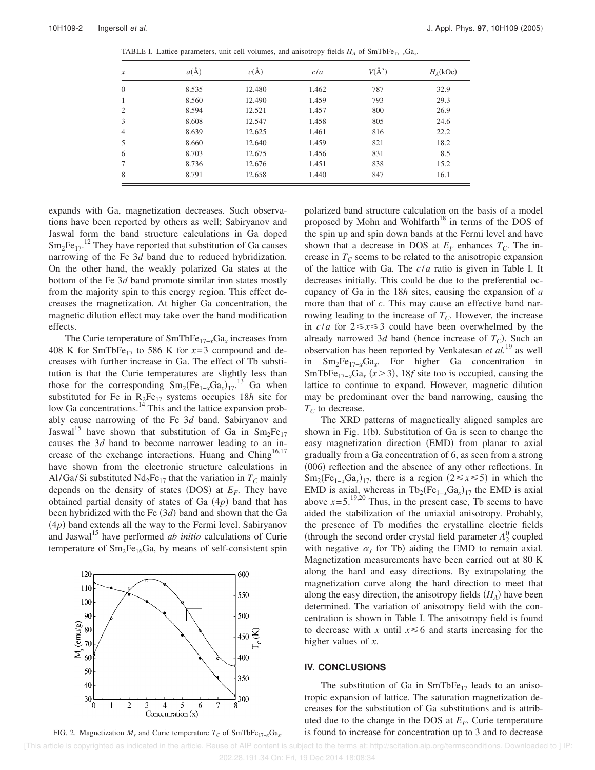| $\boldsymbol{\mathcal{X}}$ | $a(\AA)$ | $c(\AA)$ | c/a   | $V(\AA^3)$ | $H_A(kOe)$ |
|----------------------------|----------|----------|-------|------------|------------|
| $\mathbf{0}$               | 8.535    | 12.480   | 1.462 | 787        | 32.9       |
| 1                          | 8.560    | 12.490   | 1.459 | 793        | 29.3       |
| $\overline{2}$             | 8.594    | 12.521   | 1.457 | 800        | 26.9       |
| 3                          | 8.608    | 12.547   | 1.458 | 805        | 24.6       |
| $\overline{4}$             | 8.639    | 12.625   | 1.461 | 816        | 22.2       |
| 5                          | 8.660    | 12.640   | 1.459 | 821        | 18.2       |
| 6                          | 8.703    | 12.675   | 1.456 | 831        | 8.5        |
| 7                          | 8.736    | 12.676   | 1.451 | 838        | 15.2       |
| 8                          | 8.791    | 12.658   | 1.440 | 847        | 16.1       |

TABLE I. Lattice parameters, unit cell volumes, and anisotropy fields  $H_A$  of SmTbFe<sub>17−*x*</sub>Ga<sub>*x*</sub>.

expands with Ga, magnetization decreases. Such observations have been reported by others as well; Sabiryanov and Jaswal form the band structure calculations in Ga doped  $\text{Sm}_2\text{Fe}_{17}$ .<sup>12</sup> They have reported that substitution of Ga causes narrowing of the Fe 3*d* band due to reduced hybridization. On the other hand, the weakly polarized Ga states at the bottom of the Fe 3*d* band promote similar iron states mostly from the majority spin to this energy region. This effect decreases the magnetization. At higher Ga concentration, the magnetic dilution effect may take over the band modification effects.

The Curie temperature of SmTbFe17−*x*Ga*<sup>x</sup>* increases from 408 K for SmTbFe<sub>17</sub> to 586 K for  $x=3$  compound and decreases with further increase in Ga. The effect of Tb substitution is that the Curie temperatures are slightly less than those for the corresponding  $\text{Sm}_2(\text{Fe}_{1-x}\text{Ga}_x)_{17}^{13}$  Ga when substituted for Fe in  $R_2Fe_{17}$  systems occupies 18*h* site for low Ga concentrations. $14$  This and the lattice expansion probably cause narrowing of the Fe 3*d* band. Sabiryanov and Jaswal<sup>15</sup> have shown that substitution of Ga in  $Sm_2Fe_{17}$ causes the 3*d* band to become narrower leading to an increase of the exchange interactions. Huang and Ching<sup>16,17</sup> have shown from the electronic structure calculations in Al/Ga/Si substituted  $Nd_2Fe_{17}$  that the variation in  $T_C$  mainly depends on the density of states (DOS) at  $E_F$ . They have obtained partial density of states of Ga  $(4p)$  band that has been hybridized with the Fe (3*d*) band and shown that the Ga  $(4p)$  band extends all the way to the Fermi level. Sabiryanov and Jaswal<sup>15</sup> have performed *ab initio* calculations of Curie temperature of  $Sm<sub>2</sub>Fe<sub>16</sub>Ga$ , by means of self-consistent spin



FIG. 2. Magnetization  $M_s$  and Curie temperature  $T_c$  of SmTbFe<sub>17−*x*</sub>Ga<sub>*x*</sub>.

polarized band structure calculation on the basis of a model proposed by Mohn and Wohlfarth $18$  in terms of the DOS of the spin up and spin down bands at the Fermi level and have shown that a decrease in DOS at  $E_F$  enhances  $T_C$ . The increase in  $T_C$  seems to be related to the anisotropic expansion of the lattice with Ga. The *c*/*a* ratio is given in Table I. It decreases initially. This could be due to the preferential occupancy of Ga in the 18*h* sites, causing the expansion of *a* more than that of *c*. This may cause an effective band narrowing leading to the increase of *TC*. However, the increase in  $c/a$  for  $2 \le x \le 3$  could have been overwhelmed by the already narrowed 3*d* band (hence increase of  $T_C$ ). Such an observation has been reported by Venkatesan *et al.*<sup>19</sup> as well in Sm2Fe17−*x*Ga*<sup>x</sup>* . For higher Ga concentration in SmTbFe<sub>17-*x*</sub>Ga<sub>*x*</sub> ( $x$  > 3), 18*f* site too is occupied, causing the lattice to continue to expand. However, magnetic dilution may be predominant over the band narrowing, causing the  $T_C$  to decrease.

The XRD patterns of magnetically aligned samples are shown in Fig.  $1(b)$ . Substitution of Ga is seen to change the easy magnetization direction (EMD) from planar to axial gradually from a Ga concentration of 6, as seen from a strong  $(006)$  reflection and the absence of any other reflections. In  $Sm_2(Fe_{1-x}Ga_x)_{17}$ , there is a region  $(2 \le x \le 5)$  in which the EMD is axial, whereas in  $\text{Tb}_2(\text{Fe}_{1-x}\text{Ga}_x)_{17}$  the EMD is axial above  $x=5$ .<sup>19,20</sup> Thus, in the present case, Tb seems to have aided the stabilization of the uniaxial anisotropy. Probably, the presence of Tb modifies the crystalline electric fields (through the second order crystal field parameter  $A_2^0$  coupled with negative  $\alpha_J$  for Tb) aiding the EMD to remain axial. Magnetization measurements have been carried out at 80 K along the hard and easy directions. By extrapolating the magnetization curve along the hard direction to meet that along the easy direction, the anisotropy fields  $(H_A)$  have been determined. The variation of anisotropy field with the concentration is shown in Table I. The anisotropy field is found to decrease with *x* until  $x \le 6$  and starts increasing for the higher values of *x*.

#### **IV. CONCLUSIONS**

The substitution of Ga in  $SmTbFe_{17}$  leads to an anisotropic expansion of lattice. The saturation magnetization decreases for the substitution of Ga substitutions and is attributed due to the change in the DOS at  $E_F$ . Curie temperature is found to increase for concentration up to 3 and to decrease